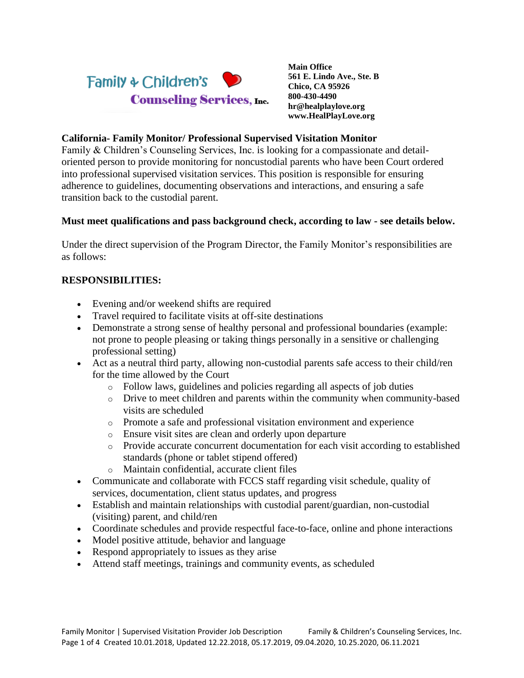

**Main Office 561 E. Lindo Ave., Ste. B Chico, CA 95926 800-430-4490 hr@healplaylove.org www.HealPlayLove.org**

#### **California- Family Monitor/ Professional Supervised Visitation Monitor**

Family & Children's Counseling Services, Inc. is looking for a compassionate and detailoriented person to provide monitoring for noncustodial parents who have been Court ordered into professional supervised visitation services. This position is responsible for ensuring adherence to guidelines, documenting observations and interactions, and ensuring a safe transition back to the custodial parent.

#### **Must meet qualifications and pass background check, according to law - see details below.**

Under the direct supervision of the Program Director, the Family Monitor's responsibilities are as follows:

#### **RESPONSIBILITIES:**

- Evening and/or weekend shifts are required
- Travel required to facilitate visits at off-site destinations
- Demonstrate a strong sense of healthy personal and professional boundaries (example: not prone to people pleasing or taking things personally in a sensitive or challenging professional setting)
- Act as a neutral third party, allowing non-custodial parents safe access to their child/ren for the time allowed by the Court
	- o Follow laws, guidelines and policies regarding all aspects of job duties
	- o Drive to meet children and parents within the community when community-based visits are scheduled
	- o Promote a safe and professional visitation environment and experience
	- o Ensure visit sites are clean and orderly upon departure
	- o Provide accurate concurrent documentation for each visit according to established standards (phone or tablet stipend offered)
	- o Maintain confidential, accurate client files
- Communicate and collaborate with FCCS staff regarding visit schedule, quality of services, documentation, client status updates, and progress
- Establish and maintain relationships with custodial parent/guardian, non-custodial (visiting) parent, and child/ren
- Coordinate schedules and provide respectful face-to-face, online and phone interactions
- Model positive attitude, behavior and language
- Respond appropriately to issues as they arise
- Attend staff meetings, trainings and community events, as scheduled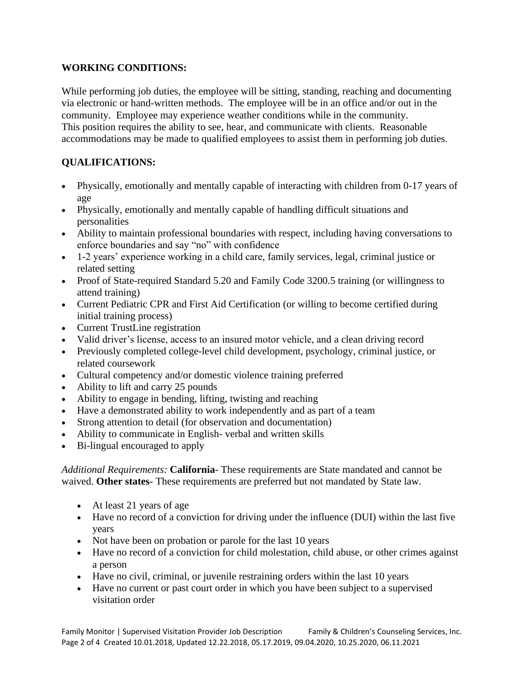### **WORKING CONDITIONS:**

While performing job duties, the employee will be sitting, standing, reaching and documenting via electronic or hand-written methods. The employee will be in an office and/or out in the community. Employee may experience weather conditions while in the community. This position requires the ability to see, hear, and communicate with clients.Reasonable accommodations may be made to qualified employees to assist them in performing job duties.

## **QUALIFICATIONS:**

- Physically, emotionally and mentally capable of interacting with children from 0-17 years of age
- Physically, emotionally and mentally capable of handling difficult situations and personalities
- Ability to maintain professional boundaries with respect, including having conversations to enforce boundaries and say "no" with confidence
- 1-2 years' experience working in a child care, family services, legal, criminal justice or related setting
- Proof of State-required Standard 5.20 and Family Code 3200.5 training (or willingness to attend training)
- Current Pediatric CPR and First Aid Certification (or willing to become certified during initial training process)
- Current TrustLine registration
- Valid driver's license, access to an insured motor vehicle, and a clean driving record
- Previously completed college-level child development, psychology, criminal justice, or related coursework
- Cultural competency and/or domestic violence training preferred
- Ability to lift and carry 25 pounds
- Ability to engage in bending, lifting, twisting and reaching
- Have a demonstrated ability to work independently and as part of a team
- Strong attention to detail (for observation and documentation)
- Ability to communicate in English- verbal and written skills
- Bi-lingual encouraged to apply

*Additional Requirements:* **California**- These requirements are State mandated and cannot be waived. **Other states**- These requirements are preferred but not mandated by State law.

- At least 21 years of age
- Have no record of a conviction for driving under the influence (DUI) within the last five years
- Not have been on probation or parole for the last 10 years
- Have no record of a conviction for child molestation, child abuse, or other crimes against a person
- Have no civil, criminal, or juvenile restraining orders within the last 10 years
- Have no current or past court order in which you have been subject to a supervised visitation order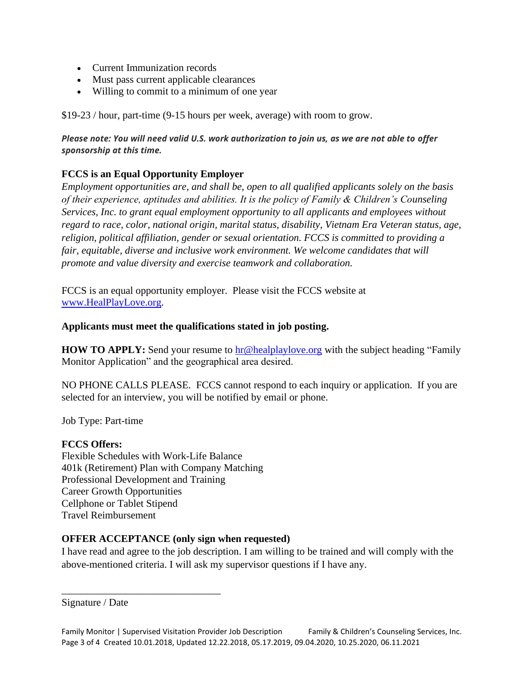- Current Immunization records
- Must pass current applicable clearances
- Willing to commit to a minimum of one year

\$19-23 / hour, part-time (9-15 hours per week, average) with room to grow.

*Please note: You will need valid U.S. work authorization to join us, as we are not able to offer sponsorship at this time.*

# **FCCS is an Equal Opportunity Employer**

*Employment opportunities are, and shall be, open to all qualified applicants solely on the basis of their experience, aptitudes and abilities. It is the policy of Family & Children's Counseling Services, Inc. to grant equal employment opportunity to all applicants and employees without regard to race, color, national origin, marital status, disability, Vietnam Era Veteran status, age, religion, political affiliation, gender or sexual orientation. FCCS is committed to providing a fair, equitable, diverse and inclusive work environment. We welcome candidates that will promote and value diversity and exercise teamwork and collaboration.*

FCCS is an equal opportunity employer. Please visit the FCCS website at [www.HealPlayLove.org.](http://www.healplaylove.org/)

### **Applicants must meet the qualifications stated in job posting.**

**HOW TO APPLY:** Send your resume to [hr@healplaylove.org](mailto:hr@healplaylove.org) with the subject heading "Family Monitor Application" and the geographical area desired.

NO PHONE CALLS PLEASE. FCCS cannot respond to each inquiry or application. If you are selected for an interview, you will be notified by email or phone.

Job Type: Part-time

### **FCCS Offers:**

Flexible Schedules with Work-Life Balance 401k (Retirement) Plan with Company Matching Professional Development and Training Career Growth Opportunities Cellphone or Tablet Stipend Travel Reimbursement

\_\_\_\_\_\_\_\_\_\_\_\_\_\_\_\_\_\_\_\_\_\_\_\_\_\_\_\_\_\_\_

## **OFFER ACCEPTANCE (only sign when requested)**

I have read and agree to the job description. I am willing to be trained and will comply with the above-mentioned criteria. I will ask my supervisor questions if I have any.

Signature / Date